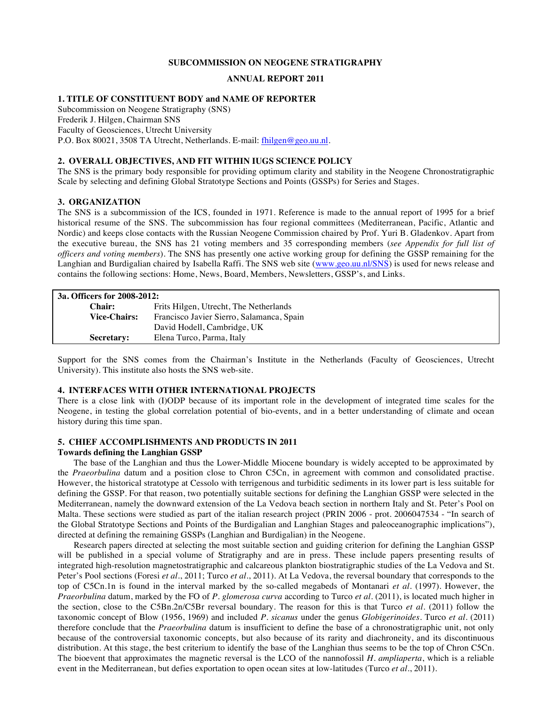#### **SUBCOMMISSION ON NEOGENE STRATIGRAPHY**

## **ANNUAL REPORT 2011**

## **1. TITLE OF CONSTITUENT BODY and NAME OF REPORTER**

Subcommission on Neogene Stratigraphy (SNS) Frederik J. Hilgen, Chairman SNS Faculty of Geosciences, Utrecht University P.O. Box 80021, 3508 TA Utrecht, Netherlands. E-mail: fhilgen@geo.uu.nl.

#### **2. OVERALL OBJECTIVES, AND FIT WITHIN IUGS SCIENCE POLICY**

The SNS is the primary body responsible for providing optimum clarity and stability in the Neogene Chronostratigraphic Scale by selecting and defining Global Stratotype Sections and Points (GSSPs) for Series and Stages.

## **3. ORGANIZATION**

The SNS is a subcommission of the ICS, founded in 1971. Reference is made to the annual report of 1995 for a brief historical resume of the SNS. The subcommission has four regional committees (Mediterranean, Pacific, Atlantic and Nordic) and keeps close contacts with the Russian Neogene Commission chaired by Prof. Yuri B. Gladenkov. Apart from the executive bureau, the SNS has 21 voting members and 35 corresponding members (*see Appendix for full list of officers and voting members*). The SNS has presently one active working group for defining the GSSP remaining for the Langhian and Burdigalian chaired by Isabella Raffi. The SNS web site (www.geo.uu.nl/SNS) is used for news release and contains the following sections: Home, News, Board, Members, Newsletters, GSSP's, and Links.

| 3a. Officers for 2008-2012: |                                           |  |
|-----------------------------|-------------------------------------------|--|
| Chair:                      | Frits Hilgen, Utrecht, The Netherlands    |  |
| <b>Vice-Chairs:</b>         | Francisco Javier Sierro, Salamanca, Spain |  |
|                             | David Hodell, Cambridge, UK               |  |
| <b>Secretary:</b>           | Elena Turco, Parma, Italy                 |  |

Support for the SNS comes from the Chairman's Institute in the Netherlands (Faculty of Geosciences, Utrecht University). This institute also hosts the SNS web-site.

#### **4. INTERFACES WITH OTHER INTERNATIONAL PROJECTS**

There is a close link with (I)ODP because of its important role in the development of integrated time scales for the Neogene, in testing the global correlation potential of bio-events, and in a better understanding of climate and ocean history during this time span.

#### **5. CHIEF ACCOMPLISHMENTS AND PRODUCTS IN 2011**

#### **Towards defining the Langhian GSSP**

The base of the Langhian and thus the Lower-Middle Miocene boundary is widely accepted to be approximated by the *Praeorbulina* datum and a position close to Chron C5Cn, in agreement with common and consolidated practise. However, the historical stratotype at Cessolo with terrigenous and turbiditic sediments in its lower part is less suitable for defining the GSSP. For that reason, two potentially suitable sections for defining the Langhian GSSP were selected in the Mediterranean, namely the downward extension of the La Vedova beach section in northern Italy and St. Peter's Pool on Malta. These sections were studied as part of the italian research project (PRIN 2006 - prot. 2006047534 - "In search of the Global Stratotype Sections and Points of the Burdigalian and Langhian Stages and paleoceanographic implications"), directed at defining the remaining GSSPs (Langhian and Burdigalian) in the Neogene.

Research papers directed at selecting the most suitable section and guiding criterion for defining the Langhian GSSP will be published in a special volume of Stratigraphy and are in press. These include papers presenting results of integrated high-resolution magnetostratigraphic and calcareous plankton biostratigraphic studies of the La Vedova and St. Peter's Pool sections (Foresi *et al*., 2011; Turco *et al*., 2011). At La Vedova, the reversal boundary that corresponds to the top of C5Cn.1n is found in the interval marked by the so-called megabeds of Montanari *et al*. (1997). However, the *Praeorbulina* datum, marked by the FO of *P. glomerosa curva* according to Turco *et al*. (2011), is located much higher in the section, close to the C5Bn.2n/C5Br reversal boundary. The reason for this is that Turco *et al*. (2011) follow the taxonomic concept of Blow (1956, 1969) and included *P. sicanus* under the genus *Globigerinoides*. Turco *et al*. (2011) therefore conclude that the *Praeorbulina* datum is insufficient to define the base of a chronostratigraphic unit, not only because of the controversial taxonomic concepts, but also because of its rarity and diachroneity, and its discontinuous distribution. At this stage, the best criterium to identify the base of the Langhian thus seems to be the top of Chron C5Cn. The bioevent that approximates the magnetic reversal is the LCO of the nannofossil *H. ampliaperta*, which is a reliable event in the Mediterranean, but defies exportation to open ocean sites at low-latitudes (Turco *et al*., 2011).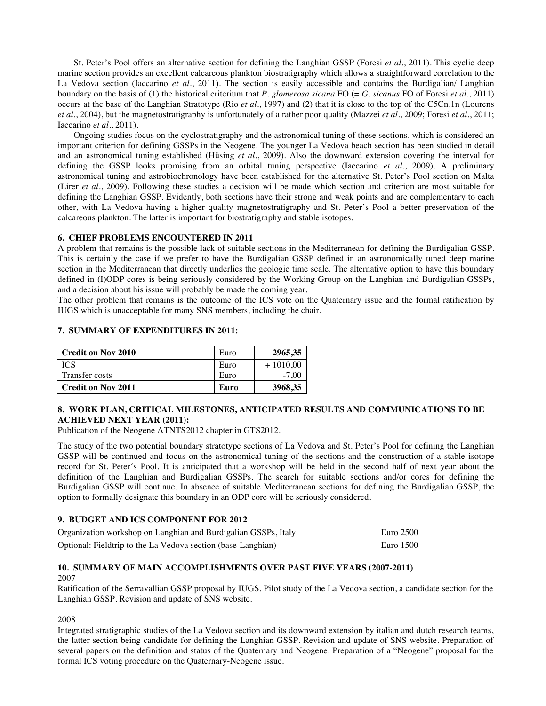St. Peter's Pool offers an alternative section for defining the Langhian GSSP (Foresi *et al*., 2011). This cyclic deep marine section provides an excellent calcareous plankton biostratigraphy which allows a straightforward correlation to the La Vedova section (Iaccarino *et al*., 2011). The section is easily accessible and contains the Burdigalian/ Langhian boundary on the basis of (1) the historical criterium that *P. glomerosa sicana* FO (= *G. sicanus* FO of Foresi *et al*., 2011) occurs at the base of the Langhian Stratotype (Rio *et al*., 1997) and (2) that it is close to the top of the C5Cn.1n (Lourens *et al*., 2004), but the magnetostratigraphy is unfortunately of a rather poor quality (Mazzei *et al*., 2009; Foresi *et al*., 2011; Iaccarino *et al*., 2011).

Ongoing studies focus on the cyclostratigraphy and the astronomical tuning of these sections, which is considered an important criterion for defining GSSPs in the Neogene. The younger La Vedova beach section has been studied in detail and an astronomical tuning established (Hüsing *et al*., 2009). Also the downward extension covering the interval for defining the GSSP looks promising from an orbital tuning perspective (Iaccarino *et al*., 2009). A preliminary astronomical tuning and astrobiochronology have been established for the alternative St. Peter's Pool section on Malta (Lirer *et al*., 2009). Following these studies a decision will be made which section and criterion are most suitable for defining the Langhian GSSP. Evidently, both sections have their strong and weak points and are complementary to each other, with La Vedova having a higher quality magnetostratigraphy and St. Peter's Pool a better preservation of the calcareous plankton. The latter is important for biostratigraphy and stable isotopes.

#### **6. CHIEF PROBLEMS ENCOUNTERED IN 2011**

A problem that remains is the possible lack of suitable sections in the Mediterranean for defining the Burdigalian GSSP. This is certainly the case if we prefer to have the Burdigalian GSSP defined in an astronomically tuned deep marine section in the Mediterranean that directly underlies the geologic time scale. The alternative option to have this boundary defined in (I)ODP cores is being seriously considered by the Working Group on the Langhian and Burdigalian GSSPs, and a decision about his issue will probably be made the coming year.

The other problem that remains is the outcome of the ICS vote on the Quaternary issue and the formal ratification by IUGS which is unacceptable for many SNS members, including the chair.

# **7. SUMMARY OF EXPENDITURES IN 2011:**

| <b>Credit on Nov 2010</b> | Euro | 2965,35    |
|---------------------------|------|------------|
| <b>ICS</b>                | Euro | $+1010,00$ |
| Transfer costs            | Euro | $-7.00$    |
| <b>Credit on Nov 2011</b> | Euro | 3968,35    |

## **8. WORK PLAN, CRITICAL MILESTONES, ANTICIPATED RESULTS AND COMMUNICATIONS TO BE ACHIEVED NEXT YEAR (2011):**

Publication of the Neogene ATNTS2012 chapter in GTS2012.

The study of the two potential boundary stratotype sections of La Vedova and St. Peter's Pool for defining the Langhian GSSP will be continued and focus on the astronomical tuning of the sections and the construction of a stable isotope record for St. Peter´s Pool. It is anticipated that a workshop will be held in the second half of next year about the definition of the Langhian and Burdigalian GSSPs. The search for suitable sections and/or cores for defining the Burdigalian GSSP will continue. In absence of suitable Mediterranean sections for defining the Burdigalian GSSP, the option to formally designate this boundary in an ODP core will be seriously considered.

### **9. BUDGET AND ICS COMPONENT FOR 2012**

| Organization workshop on Langhian and Burdigalian GSSPs, Italy | Euro 2500 |
|----------------------------------------------------------------|-----------|
| Optional: Fieldtrip to the La Vedova section (base-Langhian)   | Euro 1500 |

## **10. SUMMARY OF MAIN ACCOMPLISHMENTS OVER PAST FIVE YEARS (2007-2011)** 2007

Ratification of the Serravallian GSSP proposal by IUGS. Pilot study of the La Vedova section, a candidate section for the Langhian GSSP. Revision and update of SNS website.

2008

Integrated stratigraphic studies of the La Vedova section and its downward extension by italian and dutch research teams, the latter section being candidate for defining the Langhian GSSP. Revision and update of SNS website. Preparation of several papers on the definition and status of the Quaternary and Neogene. Preparation of a "Neogene" proposal for the formal ICS voting procedure on the Quaternary-Neogene issue.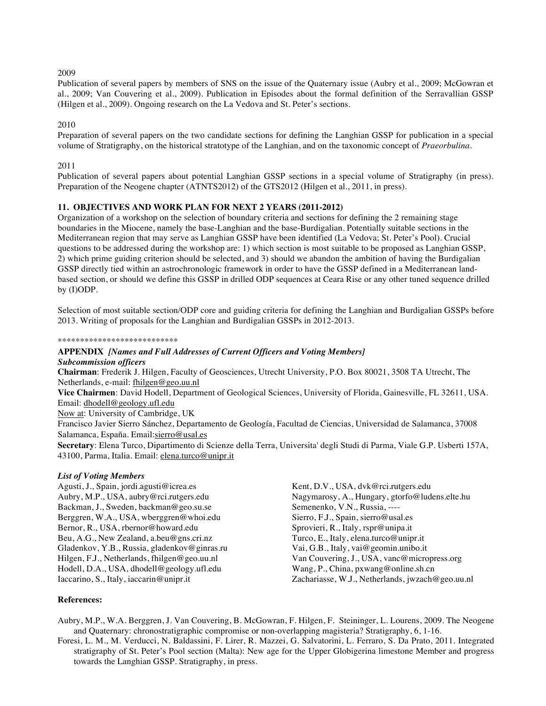## 2009

Publication of several papers by members of SNS on the issue of the Quaternary issue (Aubry et al., 2009; McGowran et al., 2009; Van Couvering et al., 2009). Publication in Episodes about the formal definition of the Serravallian GSSP (Hilgen et al., 2009). Ongoing research on the La Vedova and St. Peter's sections.

# 2010

Preparation of several papers on the two candidate sections for defining the Langhian GSSP for publication in a special volume of Stratigraphy, on the historical stratotype of the Langhian, and on the taxonomic concept of *Praeorbulina*.

# 2011

Publication of several papers about potential Langhian GSSP sections in a special volume of Stratigraphy (in press). Preparation of the Neogene chapter (ATNTS2012) of the GTS2012 (Hilgen et al., 2011, in press).

# **11. OBJECTIVES AND WORK PLAN FOR NEXT 2 YEARS (2011-2012)**

Organization of a workshop on the selection of boundary criteria and sections for defining the 2 remaining stage boundaries in the Miocene, namely the base-Langhian and the base-Burdigalian. Potentially suitable sections in the Mediterranean region that may serve as Langhian GSSP have been identified (La Vedova; St. Peter's Pool). Crucial questions to be addressed during the workshop are: 1) which section is most suitable to be proposed as Langhian GSSP, 2) which prime guiding criterion should be selected, and 3) should we abandon the ambition of having the Burdigalian GSSP directly tied within an astrochronologic framework in order to have the GSSP defined in a Mediterranean landbased section, or should we define this GSSP in drilled ODP sequences at Ceara Rise or any other tuned sequence drilled by (I)ODP.

Selection of most suitable section/ODP core and guiding criteria for defining the Langhian and Burdigalian GSSPs before 2013. Writing of proposals for the Langhian and Burdigalian GSSPs in 2012-2013.

#### \*\*\*\*\*\*\*\*\*\*\*\*\*\*\*\*\*\*\*\*\*\*\*\*\*\*\*

# **APPENDIX** *[Names and Full Addresses of Current Officers and Voting Members]*

*Subcommission officers*

**Chairman**: Frederik J. Hilgen, Faculty of Geosciences, Utrecht University, P.O. Box 80021, 3508 TA Utrecht, The Netherlands, e-mail: fhilgen@geo.uu.nl

**Vice Chairmen**: David Hodell, Department of Geological Sciences, University of Florida, Gainesville, FL 32611, USA. Email: dhodell@geology.ufl.edu

Now at: University of Cambridge, UK

Francisco Javier Sierro Sánchez, Departamento de Geología, Facultad de Ciencias, Universidad de Salamanca, 37008 Salamanca, España. Email:sierro@usal.es

**Secretary**: Elena Turco, Dipartimento di Scienze della Terra, Universita' degli Studi di Parma, Viale G.P. Usberti 157A, 43100, Parma, Italia. Email: elena.turco@unipr.it

## *List of Voting Members*

Agusti, J., Spain, jordi.agusti@icrea.es Aubry, M.P., USA, aubry@rci.rutgers.edu Backman, J., Sweden, backman@geo.su.se Berggren, W.A., USA, wberggren@whoi.edu Bernor, R., USA, rbernor@howard.edu Beu, A.G., New Zealand, a.beu@gns.cri.nz Gladenkov, Y.B., Russia, gladenkov@ginras.ru Hilgen, F.J., Netherlands, fhilgen@geo.uu.nl Hodell, D.A., USA, dhodell@geology.ufl.edu Iaccarino, S., Italy, iaccarin@unipr.it Kent, D.V., USA, dvk@rci.rutgers.edu Nagymarosy, A., Hungary, gtorfo@ludens.elte.hu Semenenko, V.N., Russia, ---- Sierro, F.J., Spain, sierro@usal.es Sprovieri, R., Italy, rspr@unipa.it Turco, E., Italy, elena.turco@unipr.it Vai, G.B., Italy, vai@geomin.unibo.it Van Couvering, J., USA, vanc@micropress.org Wang, P., China, pxwang@online.sh.cn Zachariasse, W.J., Netherlands, jwzach@geo.uu.nl

## **References:**

Aubry, M.P., W.A. Berggren, J. Van Couvering, B. McGowran, F. Hilgen, F. Steininger, L. Lourens, 2009. The Neogene and Quaternary: chronostratigraphic compromise or non-overlapping magisteria? Stratigraphy, 6, 1-16.

Foresi, L. M., M. Verducci, N. Baldassini, F. Lirer, R. Mazzei, G. Salvatorini, L. Ferraro, S. Da Prato, 2011. Integrated stratigraphy of St. Peter's Pool section (Malta): New age for the Upper Globigerina limestone Member and progress towards the Langhian GSSP. Stratigraphy, in press.